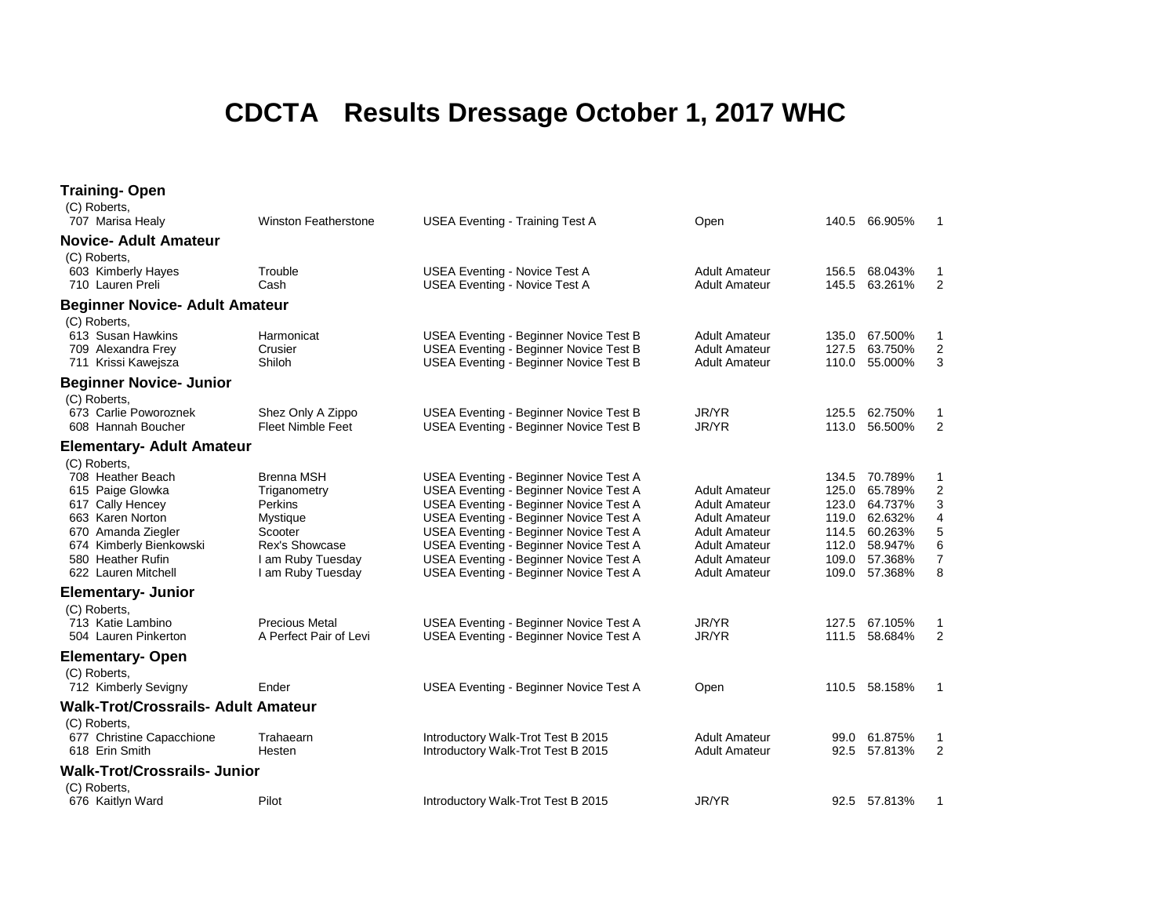## **CDCTA Results Dressage October 1, 2017 WHC**

| <b>Training- Open</b>                                                                                                                                                                      |                                                                                                                                               |                                                                                                                                                                                                                                                                                                                                                            |                                                                                                                                                               |                                                             |                                                                                            |                                                            |
|--------------------------------------------------------------------------------------------------------------------------------------------------------------------------------------------|-----------------------------------------------------------------------------------------------------------------------------------------------|------------------------------------------------------------------------------------------------------------------------------------------------------------------------------------------------------------------------------------------------------------------------------------------------------------------------------------------------------------|---------------------------------------------------------------------------------------------------------------------------------------------------------------|-------------------------------------------------------------|--------------------------------------------------------------------------------------------|------------------------------------------------------------|
| (C) Roberts,<br>707 Marisa Healy                                                                                                                                                           | <b>Winston Featherstone</b>                                                                                                                   | <b>USEA Eventing - Training Test A</b>                                                                                                                                                                                                                                                                                                                     | Open                                                                                                                                                          |                                                             | 140.5 66.905%                                                                              | $\overline{1}$                                             |
| <b>Novice- Adult Amateur</b>                                                                                                                                                               |                                                                                                                                               |                                                                                                                                                                                                                                                                                                                                                            |                                                                                                                                                               |                                                             |                                                                                            |                                                            |
| (C) Roberts,<br>603 Kimberly Hayes<br>710 Lauren Preli                                                                                                                                     | Trouble<br>Cash                                                                                                                               | <b>USEA Eventing - Novice Test A</b><br><b>USEA Eventing - Novice Test A</b>                                                                                                                                                                                                                                                                               | <b>Adult Amateur</b><br><b>Adult Amateur</b>                                                                                                                  | 156.5<br>145.5                                              | 68.043%<br>63.261%                                                                         | -1<br>2                                                    |
| <b>Beginner Novice- Adult Amateur</b>                                                                                                                                                      |                                                                                                                                               |                                                                                                                                                                                                                                                                                                                                                            |                                                                                                                                                               |                                                             |                                                                                            |                                                            |
| (C) Roberts,<br>613 Susan Hawkins<br>709 Alexandra Frey<br>711 Krissi Kawejsza                                                                                                             | Harmonicat<br>Crusier<br>Shiloh                                                                                                               | USEA Eventing - Beginner Novice Test B<br>USEA Eventing - Beginner Novice Test B<br>USEA Eventing - Beginner Novice Test B                                                                                                                                                                                                                                 | <b>Adult Amateur</b><br><b>Adult Amateur</b><br><b>Adult Amateur</b>                                                                                          | 135.0<br>127.5<br>110.0                                     | 67.500%<br>63.750%<br>55.000%                                                              | 1<br>$\overline{2}$<br>3                                   |
| <b>Beginner Novice- Junior</b>                                                                                                                                                             |                                                                                                                                               |                                                                                                                                                                                                                                                                                                                                                            |                                                                                                                                                               |                                                             |                                                                                            |                                                            |
| (C) Roberts,<br>673 Carlie Poworoznek<br>608 Hannah Boucher                                                                                                                                | Shez Only A Zippo<br><b>Fleet Nimble Feet</b>                                                                                                 | USEA Eventing - Beginner Novice Test B<br>USEA Eventing - Beginner Novice Test B                                                                                                                                                                                                                                                                           | JR/YR<br>JR/YR                                                                                                                                                | 125.5<br>113.0                                              | 62.750%<br>56.500%                                                                         | 1<br>$\overline{2}$                                        |
| <b>Elementary- Adult Amateur</b>                                                                                                                                                           |                                                                                                                                               |                                                                                                                                                                                                                                                                                                                                                            |                                                                                                                                                               |                                                             |                                                                                            |                                                            |
| (C) Roberts,<br>708 Heather Beach<br>615 Paige Glowka<br>617 Cally Hencey<br>663 Karen Norton<br>670 Amanda Ziegler<br>674 Kimberly Bienkowski<br>580 Heather Rufin<br>622 Lauren Mitchell | <b>Brenna MSH</b><br>Triganometry<br>Perkins<br><b>Mystique</b><br>Scooter<br><b>Rex's Showcase</b><br>I am Ruby Tuesday<br>I am Ruby Tuesday | USEA Eventing - Beginner Novice Test A<br>USEA Eventing - Beginner Novice Test A<br><b>USEA Eventing - Beginner Novice Test A</b><br>USEA Eventing - Beginner Novice Test A<br>USEA Eventing - Beginner Novice Test A<br>USEA Eventing - Beginner Novice Test A<br><b>USEA Eventing - Beginner Novice Test A</b><br>USEA Eventing - Beginner Novice Test A | Adult Amateur<br><b>Adult Amateur</b><br><b>Adult Amateur</b><br><b>Adult Amateur</b><br><b>Adult Amateur</b><br><b>Adult Amateur</b><br><b>Adult Amateur</b> | 125.0<br>123.0<br>119.0<br>114.5<br>112.0<br>109.0<br>109.0 | 134.5 70.789%<br>65.789%<br>64.737%<br>62.632%<br>60.263%<br>58.947%<br>57.368%<br>57.368% | 1<br>$\sqrt{2}$<br>3<br>4<br>5<br>6<br>$\overline{7}$<br>8 |
| <b>Elementary- Junior</b>                                                                                                                                                                  |                                                                                                                                               |                                                                                                                                                                                                                                                                                                                                                            |                                                                                                                                                               |                                                             |                                                                                            |                                                            |
| (C) Roberts,<br>713 Katie Lambino<br>504 Lauren Pinkerton                                                                                                                                  | <b>Precious Metal</b><br>A Perfect Pair of Levi                                                                                               | USEA Eventing - Beginner Novice Test A<br>USEA Eventing - Beginner Novice Test A                                                                                                                                                                                                                                                                           | JR/YR<br>JR/YR                                                                                                                                                | 127.5<br>111.5                                              | 67.105%<br>58.684%                                                                         | 1<br>2                                                     |
| <b>Elementary-Open</b>                                                                                                                                                                     |                                                                                                                                               |                                                                                                                                                                                                                                                                                                                                                            |                                                                                                                                                               |                                                             |                                                                                            |                                                            |
| (C) Roberts,<br>712 Kimberly Sevigny                                                                                                                                                       | Ender                                                                                                                                         | USEA Eventing - Beginner Novice Test A                                                                                                                                                                                                                                                                                                                     | Open                                                                                                                                                          |                                                             | 110.5 58.158%                                                                              | 1                                                          |
| <b>Walk-Trot/Crossrails- Adult Amateur</b>                                                                                                                                                 |                                                                                                                                               |                                                                                                                                                                                                                                                                                                                                                            |                                                                                                                                                               |                                                             |                                                                                            |                                                            |
| (C) Roberts,<br>677 Christine Capacchione<br>618 Erin Smith                                                                                                                                | Trahaearn<br>Hesten                                                                                                                           | Introductory Walk-Trot Test B 2015<br>Introductory Walk-Trot Test B 2015                                                                                                                                                                                                                                                                                   | <b>Adult Amateur</b><br><b>Adult Amateur</b>                                                                                                                  | 99.0<br>92.5                                                | 61.875%<br>57.813%                                                                         | 1<br>$\overline{2}$                                        |
| <b>Walk-Trot/Crossrails-Junior</b>                                                                                                                                                         |                                                                                                                                               |                                                                                                                                                                                                                                                                                                                                                            |                                                                                                                                                               |                                                             |                                                                                            |                                                            |
| (C) Roberts,<br>676 Kaitlyn Ward                                                                                                                                                           | Pilot                                                                                                                                         | Introductory Walk-Trot Test B 2015                                                                                                                                                                                                                                                                                                                         | JR/YR                                                                                                                                                         |                                                             | 92.5 57.813%                                                                               | 1                                                          |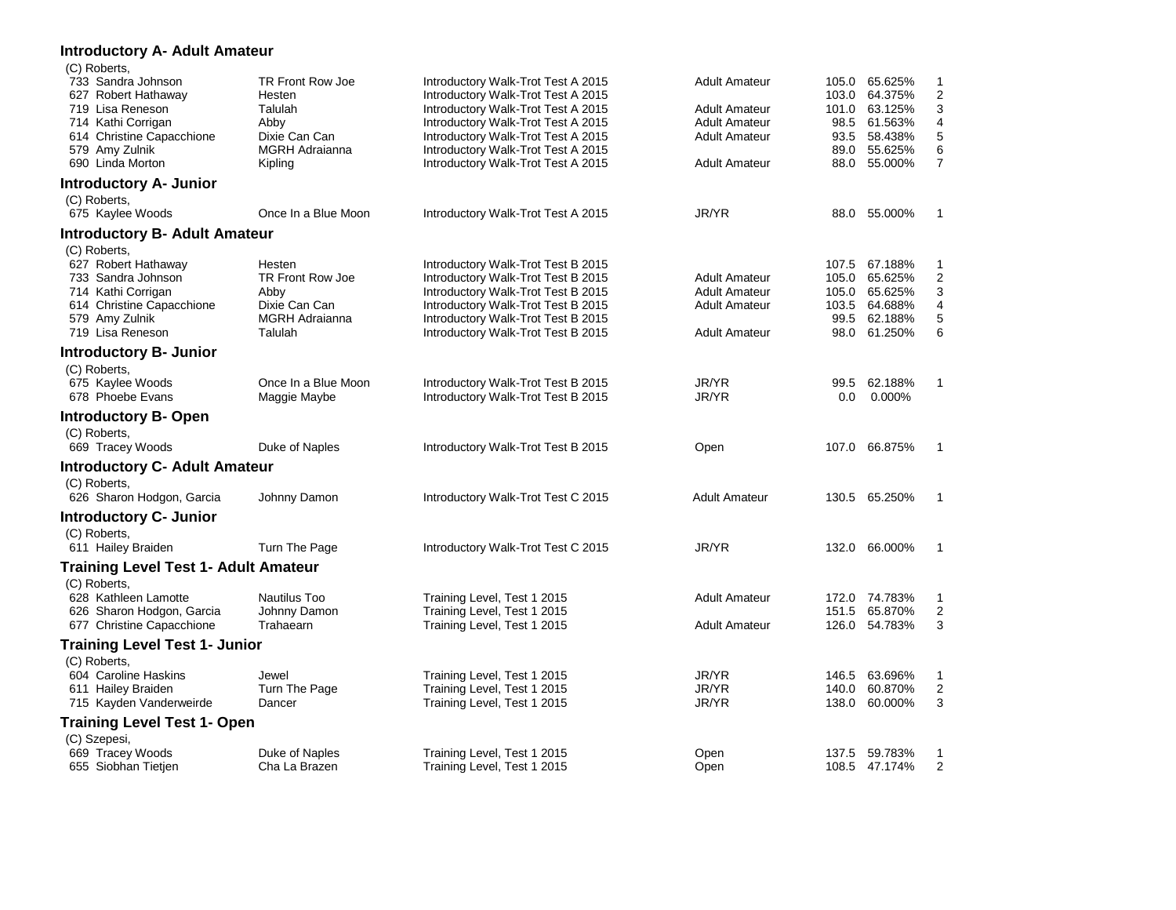| Introductory A- Adult Amateur                                                                                                                                          |                                                                                                    |                                                                                                                                                                                                                                                                        |                                                                                                                      |                |                                                                                                      |                                                           |
|------------------------------------------------------------------------------------------------------------------------------------------------------------------------|----------------------------------------------------------------------------------------------------|------------------------------------------------------------------------------------------------------------------------------------------------------------------------------------------------------------------------------------------------------------------------|----------------------------------------------------------------------------------------------------------------------|----------------|------------------------------------------------------------------------------------------------------|-----------------------------------------------------------|
| (C) Roberts,<br>733 Sandra Johnson<br>627 Robert Hathaway<br>719 Lisa Reneson<br>714 Kathi Corrigan<br>614 Christine Capacchione<br>579 Amy Zulnik<br>690 Linda Morton | TR Front Row Joe<br>Hesten<br>Talulah<br>Abby<br>Dixie Can Can<br><b>MGRH Adraianna</b><br>Kipling | Introductory Walk-Trot Test A 2015<br>Introductory Walk-Trot Test A 2015<br>Introductory Walk-Trot Test A 2015<br>Introductory Walk-Trot Test A 2015<br>Introductory Walk-Trot Test A 2015<br>Introductory Walk-Trot Test A 2015<br>Introductory Walk-Trot Test A 2015 | <b>Adult Amateur</b><br><b>Adult Amateur</b><br><b>Adult Amateur</b><br><b>Adult Amateur</b><br><b>Adult Amateur</b> | 103.0<br>88.0  | 105.0 65.625%<br>64.375%<br>101.0 63.125%<br>98.5 61.563%<br>93.5 58.438%<br>89.0 55.625%<br>55.000% | 1<br>$\overline{c}$<br>3<br>4<br>5<br>6<br>$\overline{7}$ |
| <b>Introductory A- Junior</b>                                                                                                                                          |                                                                                                    |                                                                                                                                                                                                                                                                        |                                                                                                                      |                |                                                                                                      |                                                           |
| (C) Roberts,<br>675 Kaylee Woods                                                                                                                                       | Once In a Blue Moon                                                                                | Introductory Walk-Trot Test A 2015                                                                                                                                                                                                                                     | JR/YR                                                                                                                |                | 88.0 55.000%                                                                                         | 1                                                         |
| <b>Introductory B- Adult Amateur</b>                                                                                                                                   |                                                                                                    |                                                                                                                                                                                                                                                                        |                                                                                                                      |                |                                                                                                      |                                                           |
| (C) Roberts,<br>627 Robert Hathaway<br>733 Sandra Johnson<br>714 Kathi Corrigan<br>614 Christine Capacchione<br>579 Amy Zulnik<br>719 Lisa Reneson                     | Hesten<br>TR Front Row Joe<br>Abby<br>Dixie Can Can<br>MGRH Adraianna<br>Talulah                   | Introductory Walk-Trot Test B 2015<br>Introductory Walk-Trot Test B 2015<br>Introductory Walk-Trot Test B 2015<br>Introductory Walk-Trot Test B 2015<br>Introductory Walk-Trot Test B 2015<br>Introductory Walk-Trot Test B 2015                                       | <b>Adult Amateur</b><br><b>Adult Amateur</b><br><b>Adult Amateur</b><br><b>Adult Amateur</b>                         | 105.0          | 107.5 67.188%<br>65.625%<br>105.0 65.625%<br>103.5 64.688%<br>99.5 62.188%<br>98.0 61.250%           | 1<br>$\overline{c}$<br>3<br>4<br>5<br>6                   |
| <b>Introductory B- Junior</b>                                                                                                                                          |                                                                                                    |                                                                                                                                                                                                                                                                        |                                                                                                                      |                |                                                                                                      |                                                           |
| (C) Roberts,<br>675 Kaylee Woods<br>678 Phoebe Evans                                                                                                                   | Once In a Blue Moon<br>Maggie Maybe                                                                | Introductory Walk-Trot Test B 2015<br>Introductory Walk-Trot Test B 2015                                                                                                                                                                                               | JR/YR<br>JR/YR                                                                                                       | 99.5<br>0.0    | 62.188%<br>0.000%                                                                                    | $\mathbf{1}$                                              |
| <b>Introductory B- Open</b><br>(C) Roberts,<br>669 Tracey Woods                                                                                                        | Duke of Naples                                                                                     | Introductory Walk-Trot Test B 2015                                                                                                                                                                                                                                     | Open                                                                                                                 |                | 107.0 66.875%                                                                                        | 1                                                         |
| <b>Introductory C- Adult Amateur</b>                                                                                                                                   |                                                                                                    |                                                                                                                                                                                                                                                                        |                                                                                                                      |                |                                                                                                      |                                                           |
| (C) Roberts,<br>626 Sharon Hodgon, Garcia                                                                                                                              | Johnny Damon                                                                                       | Introductory Walk-Trot Test C 2015                                                                                                                                                                                                                                     | <b>Adult Amateur</b>                                                                                                 |                | 130.5 65.250%                                                                                        | 1                                                         |
| <b>Introductory C- Junior</b>                                                                                                                                          |                                                                                                    |                                                                                                                                                                                                                                                                        |                                                                                                                      |                |                                                                                                      |                                                           |
| (C) Roberts,<br>611 Hailey Braiden                                                                                                                                     | Turn The Page                                                                                      | Introductory Walk-Trot Test C 2015                                                                                                                                                                                                                                     | JR/YR                                                                                                                | 132.0          | 66.000%                                                                                              | 1                                                         |
| <b>Training Level Test 1- Adult Amateur</b>                                                                                                                            |                                                                                                    |                                                                                                                                                                                                                                                                        |                                                                                                                      |                |                                                                                                      |                                                           |
| (C) Roberts,<br>628 Kathleen Lamotte<br>626 Sharon Hodgon, Garcia<br>677 Christine Capacchione                                                                         | Nautilus Too<br>Johnny Damon<br>Trahaearn                                                          | Training Level, Test 1 2015<br>Training Level, Test 1 2015<br>Training Level, Test 1 2015                                                                                                                                                                              | <b>Adult Amateur</b><br><b>Adult Amateur</b>                                                                         | 126.0          | 172.0 74.783%<br>151.5 65.870%<br>54.783%                                                            | 1<br>$\overline{2}$<br>3                                  |
| <b>Training Level Test 1- Junior</b>                                                                                                                                   |                                                                                                    |                                                                                                                                                                                                                                                                        |                                                                                                                      |                |                                                                                                      |                                                           |
| (C) Roberts.<br>604 Caroline Haskins<br>611 Hailey Braiden<br>715 Kayden Vanderweirde                                                                                  | Jewel<br>Turn The Page<br>Dancer                                                                   | Training Level, Test 1 2015<br>Training Level, Test 1 2015<br>Training Level, Test 1 2015                                                                                                                                                                              | JR/YR<br>JR/YR<br>JR/YR                                                                                              | 146.5<br>138.0 | 63.696%<br>140.0 60.870%<br>60.000%                                                                  | 1<br>$\overline{c}$<br>3                                  |
| <b>Training Level Test 1- Open</b>                                                                                                                                     |                                                                                                    |                                                                                                                                                                                                                                                                        |                                                                                                                      |                |                                                                                                      |                                                           |
| (C) Szepesi,<br>669 Tracey Woods<br>655 Siobhan Tietjen                                                                                                                | Duke of Naples<br>Cha La Brazen                                                                    | Training Level, Test 1 2015<br>Training Level, Test 1 2015                                                                                                                                                                                                             | Open<br>Open                                                                                                         |                | 137.5 59.783%<br>108.5 47.174%                                                                       | 1<br>$\overline{2}$                                       |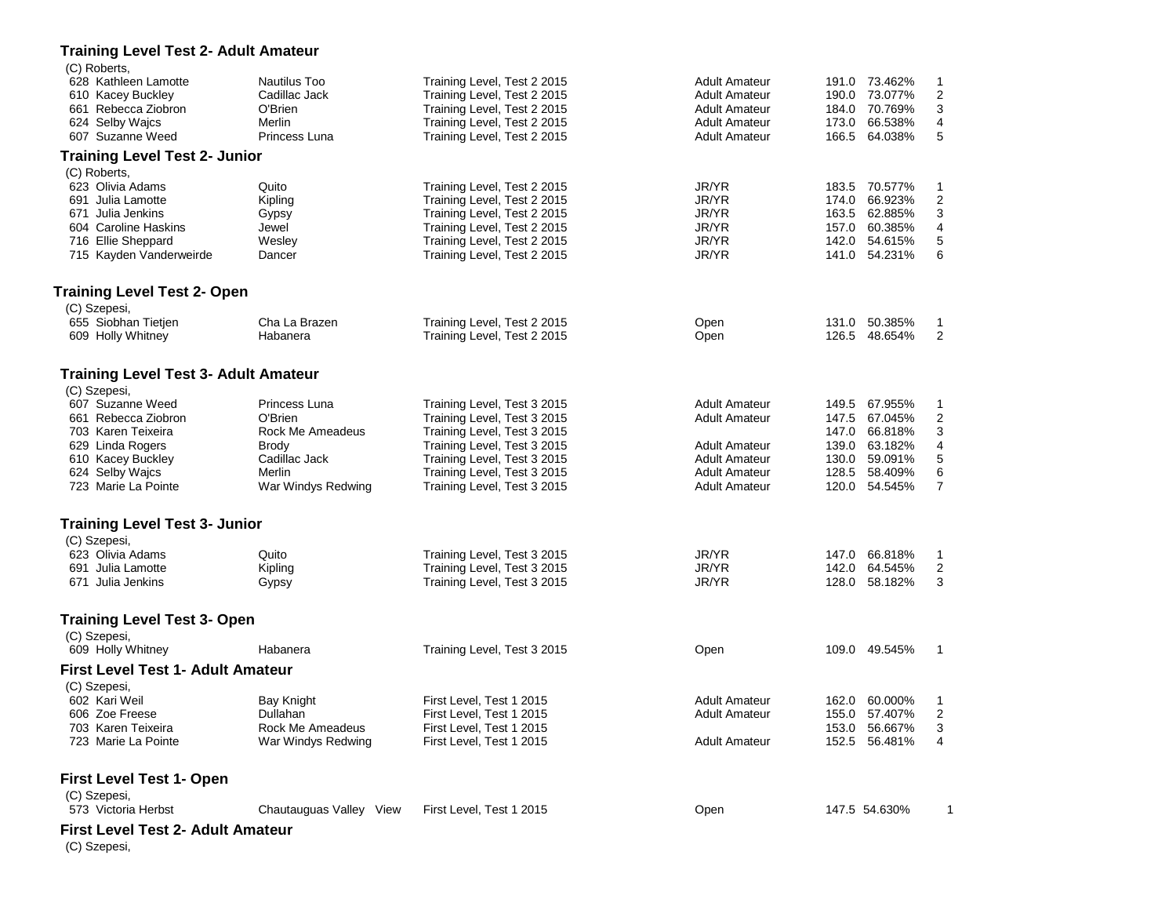| <b>Training Level Test 2- Adult Amateur</b> |                         |                             |                      |               |                         |
|---------------------------------------------|-------------------------|-----------------------------|----------------------|---------------|-------------------------|
| (C) Roberts,<br>628 Kathleen Lamotte        | Nautilus Too            | Training Level, Test 2 2015 | Adult Amateur        | 191.0 73.462% | $\mathbf{1}$            |
| 610 Kacey Buckley                           | Cadillac Jack           | Training Level, Test 2 2015 | <b>Adult Amateur</b> | 190.0 73.077% | $\overline{2}$          |
| 661 Rebecca Ziobron                         | O'Brien                 | Training Level, Test 2 2015 | Adult Amateur        | 184.0 70.769% | 3                       |
| 624 Selby Wajcs                             | Merlin                  | Training Level, Test 2 2015 | <b>Adult Amateur</b> | 173.0 66.538% | 4                       |
| 607 Suzanne Weed                            | Princess Luna           | Training Level, Test 2 2015 | Adult Amateur        | 166.5 64.038% | 5                       |
| <b>Training Level Test 2- Junior</b>        |                         |                             |                      |               |                         |
| (C) Roberts,                                |                         |                             |                      |               |                         |
| 623 Olivia Adams                            | Quito                   | Training Level, Test 2 2015 | JR/YR                | 183.5 70.577% | 1                       |
| 691 Julia Lamotte                           | Kipling                 | Training Level, Test 2 2015 | JR/YR                | 174.0 66.923% | $\overline{\mathbf{c}}$ |
| 671 Julia Jenkins                           | Gypsy                   | Training Level, Test 2 2015 | JR/YR                | 163.5 62.885% | 3                       |
| 604 Caroline Haskins                        | Jewel                   | Training Level, Test 2 2015 | JR/YR                | 157.0 60.385% | $\overline{\mathbf{4}}$ |
| 716 Ellie Sheppard                          | Wesley                  | Training Level, Test 2 2015 | JR/YR                | 142.0 54.615% | $\mathbf 5$             |
| 715 Kayden Vanderweirde                     | Dancer                  | Training Level, Test 2 2015 | JR/YR                | 141.0 54.231% | 6                       |
| <b>Training Level Test 2- Open</b>          |                         |                             |                      |               |                         |
| (C) Szepesi,                                |                         |                             |                      |               |                         |
| 655 Siobhan Tietjen                         | Cha La Brazen           | Training Level, Test 2 2015 | Open                 | 131.0 50.385% | $\mathbf{1}$            |
| 609 Holly Whitney                           | Habanera                | Training Level, Test 2 2015 | Open                 | 126.5 48.654% | 2                       |
| <b>Training Level Test 3- Adult Amateur</b> |                         |                             |                      |               |                         |
| (C) Szepesi,                                |                         |                             |                      |               |                         |
| 607 Suzanne Weed                            | Princess Luna           | Training Level, Test 3 2015 | <b>Adult Amateur</b> | 149.5 67.955% | $\mathbf{1}$            |
| 661 Rebecca Ziobron                         | O'Brien                 | Training Level, Test 3 2015 | Adult Amateur        | 147.5 67.045% | $\overline{2}$          |
| 703 Karen Teixeira                          | Rock Me Ameadeus        | Training Level, Test 3 2015 |                      | 147.0 66.818% | 3                       |
| 629 Linda Rogers                            | <b>Brody</b>            | Training Level, Test 3 2015 | <b>Adult Amateur</b> | 139.0 63.182% | 4                       |
| 610 Kacey Buckley                           | Cadillac Jack           | Training Level, Test 3 2015 | <b>Adult Amateur</b> | 130.0 59.091% | $\mathbf 5$             |
| 624 Selby Wajcs                             | Merlin                  | Training Level, Test 3 2015 | <b>Adult Amateur</b> | 128.5 58.409% | 6                       |
| 723 Marie La Pointe                         | War Windys Redwing      | Training Level, Test 3 2015 | <b>Adult Amateur</b> | 120.0 54.545% | $\overline{7}$          |
| <b>Training Level Test 3- Junior</b>        |                         |                             |                      |               |                         |
| (C) Szepesi,                                |                         |                             |                      |               |                         |
| 623 Olivia Adams                            | Quito                   | Training Level, Test 3 2015 | JR/YR                | 147.0 66.818% | $\mathbf{1}$            |
| 691 Julia Lamotte                           | Kipling                 | Training Level, Test 3 2015 | JR/YR                | 142.0 64.545% | $\overline{2}$          |
| 671 Julia Jenkins                           | Gypsy                   | Training Level, Test 3 2015 | JR/YR                | 128.0 58.182% | 3                       |
|                                             |                         |                             |                      |               |                         |
| <b>Training Level Test 3- Open</b>          |                         |                             |                      |               |                         |
| (C) Szepesi,<br>609 Holly Whitney           | Habanera                | Training Level, Test 3 2015 | Open                 | 109.0 49.545% | $\overline{1}$          |
| <b>First Level Test 1- Adult Amateur</b>    |                         |                             |                      |               |                         |
| (C) Szepesi,                                |                         |                             |                      |               |                         |
| 602 Kari Weil                               | Bay Knight              | First Level, Test 1 2015    | Adult Amateur        | 162.0 60.000% | -1                      |
| 606 Zoe Freese                              | Dullahan                | First Level, Test 1 2015    | <b>Adult Amateur</b> | 155.0 57.407% | 2                       |
| 703 Karen Teixeira                          | Rock Me Ameadeus        | First Level. Test 1 2015    |                      | 153.0 56.667% | 3                       |
| 723 Marie La Pointe                         | War Windys Redwing      | First Level, Test 1 2015    | <b>Adult Amateur</b> | 152.5 56.481% | 4                       |
| <b>First Level Test 1- Open</b>             |                         |                             |                      |               |                         |
| (C) Szepesi,                                |                         |                             |                      |               |                         |
| 573 Victoria Herbst                         | Chautauguas Valley View | First Level, Test 1 2015    | Open                 | 147.5 54.630% | 1                       |
| First Level Test 2- Adult Amateur           |                         |                             |                      |               |                         |
| (C) Szepesi,                                |                         |                             |                      |               |                         |